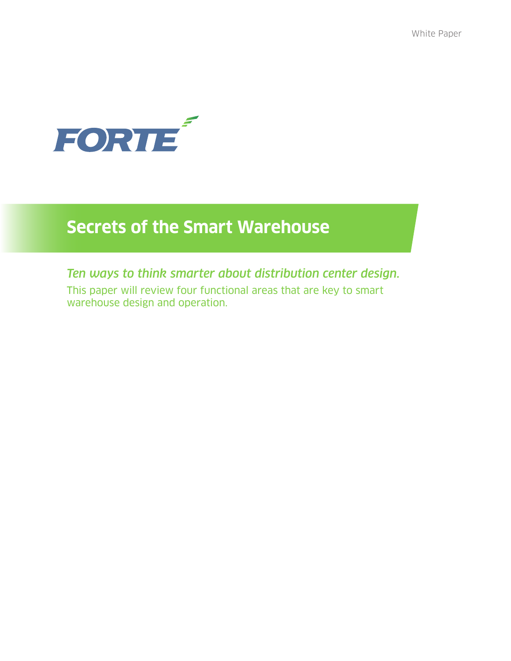

# **Secrets of the Smart Warehouse**

# *Ten ways to think smarter about distribution center design.*

This paper will review four functional areas that are key to smart warehouse design and operation.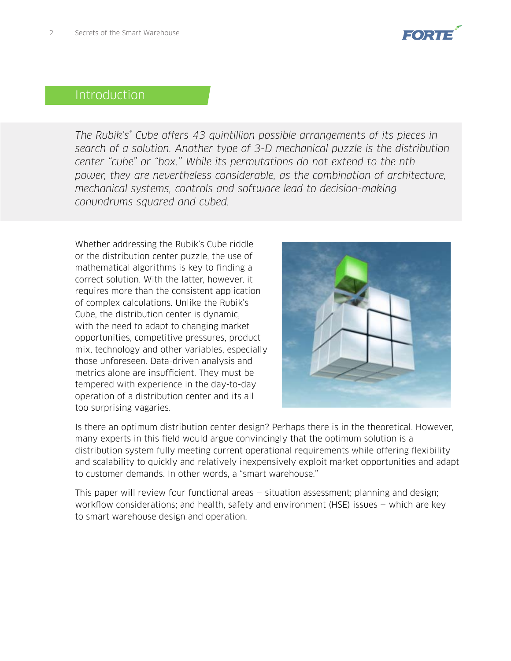

# Introduction

*The Rubik's® Cube offers 43 quintillion possible arrangements of its pieces in search of a solution. Another type of 3-D mechanical puzzle is the distribution center "cube" or "box." While its permutations do not extend to the nth*  power, they are nevertheless considerable, as the combination of architecture, *mechanical systems, controls and software lead to decision-making conundrums squared and cubed.*

Whether addressing the Rubik's Cube riddle or the distribution center puzzle, the use of mathematical algorithms is key to finding a correct solution. With the latter, however, it requires more than the consistent application of complex calculations. Unlike the Rubik's Cube, the distribution center is dynamic, with the need to adapt to changing market opportunities, competitive pressures, product mix, technology and other variables, especially those unforeseen. Data-driven analysis and metrics alone are insufficient. They must be tempered with experience in the day-to-day operation of a distribution center and its all too surprising vagaries.



Is there an optimum distribution center design? Perhaps there is in the theoretical. However, many experts in this field would argue convincingly that the optimum solution is a distribution system fully meeting current operational requirements while offering flexibility and scalability to quickly and relatively inexpensively exploit market opportunities and adapt to customer demands. In other words, a "smart warehouse."

This paper will review four functional areas — situation assessment; planning and design; workflow considerations; and health, safety and environment (HSE) issues — which are key to smart warehouse design and operation.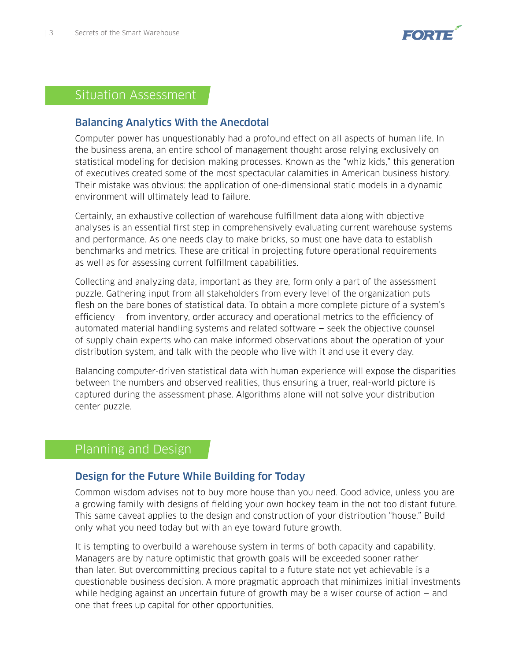

# Situation Assessment

#### Balancing Analytics With the Anecdotal

Computer power has unquestionably had a profound effect on all aspects of human life. In the business arena, an entire school of management thought arose relying exclusively on statistical modeling for decision-making processes. Known as the "whiz kids," this generation of executives created some of the most spectacular calamities in American business history. Their mistake was obvious: the application of one-dimensional static models in a dynamic environment will ultimately lead to failure.

Certainly, an exhaustive collection of warehouse fulfillment data along with objective analyses is an essential first step in comprehensively evaluating current warehouse systems and performance. As one needs clay to make bricks, so must one have data to establish benchmarks and metrics. These are critical in projecting future operational requirements as well as for assessing current fulfillment capabilities.

Collecting and analyzing data, important as they are, form only a part of the assessment puzzle. Gathering input from all stakeholders from every level of the organization puts flesh on the bare bones of statistical data. To obtain a more complete picture of a system's efficiency — from inventory, order accuracy and operational metrics to the efficiency of automated material handling systems and related software — seek the objective counsel of supply chain experts who can make informed observations about the operation of your distribution system, and talk with the people who live with it and use it every day.

Balancing computer-driven statistical data with human experience will expose the disparities between the numbers and observed realities, thus ensuring a truer, real-world picture is captured during the assessment phase. Algorithms alone will not solve your distribution center puzzle.

### Planning and Design

#### Design for the Future While Building for Today

Common wisdom advises not to buy more house than you need. Good advice, unless you are a growing family with designs of fielding your own hockey team in the not too distant future. This same caveat applies to the design and construction of your distribution "house." Build only what you need today but with an eye toward future growth.

It is tempting to overbuild a warehouse system in terms of both capacity and capability. Managers are by nature optimistic that growth goals will be exceeded sooner rather than later. But overcommitting precious capital to a future state not yet achievable is a questionable business decision. A more pragmatic approach that minimizes initial investments while hedging against an uncertain future of growth may be a wiser course of action — and one that frees up capital for other opportunities.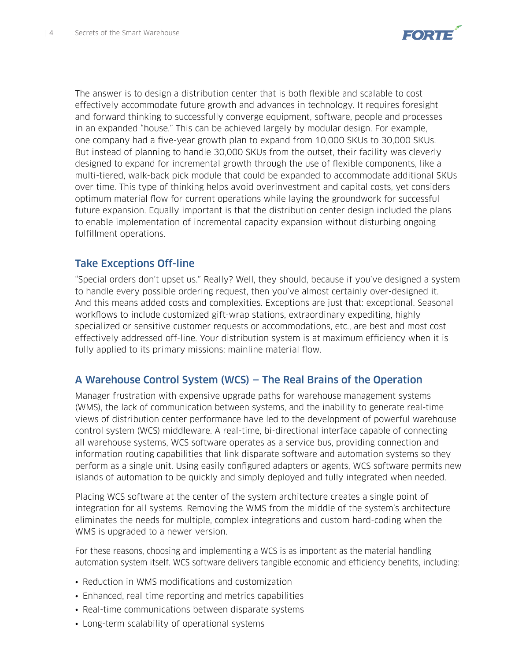

The answer is to design a distribution center that is both flexible and scalable to cost effectively accommodate future growth and advances in technology. It requires foresight and forward thinking to successfully converge equipment, software, people and processes in an expanded "house." This can be achieved largely by modular design. For example, one company had a five-year growth plan to expand from 10,000 SKUs to 30,000 SKUs. But instead of planning to handle 30,000 SKUs from the outset, their facility was cleverly designed to expand for incremental growth through the use of flexible components, like a multi-tiered, walk-back pick module that could be expanded to accommodate additional SKUs over time. This type of thinking helps avoid overinvestment and capital costs, yet considers optimum material flow for current operations while laying the groundwork for successful future expansion. Equally important is that the distribution center design included the plans to enable implementation of incremental capacity expansion without disturbing ongoing fulfillment operations.

#### Take Exceptions Off-line

"Special orders don't upset us." Really? Well, they should, because if you've designed a system to handle every possible ordering request, then you've almost certainly over-designed it. And this means added costs and complexities. Exceptions are just that: exceptional. Seasonal workflows to include customized gift-wrap stations, extraordinary expediting, highly specialized or sensitive customer requests or accommodations, etc., are best and most cost effectively addressed off-line. Your distribution system is at maximum efficiency when it is fully applied to its primary missions: mainline material flow.

#### A Warehouse Control System (WCS) — The Real Brains of the Operation

Manager frustration with expensive upgrade paths for warehouse management systems (WMS), the lack of communication between systems, and the inability to generate real-time views of distribution center performance have led to the development of powerful warehouse control system (WCS) middleware. A real-time, bi-directional interface capable of connecting all warehouse systems, WCS software operates as a service bus, providing connection and information routing capabilities that link disparate software and automation systems so they perform as a single unit. Using easily configured adapters or agents, WCS software permits new islands of automation to be quickly and simply deployed and fully integrated when needed.

Placing WCS software at the center of the system architecture creates a single point of integration for all systems. Removing the WMS from the middle of the system's architecture eliminates the needs for multiple, complex integrations and custom hard-coding when the WMS is upgraded to a newer version.

For these reasons, choosing and implementing a WCS is as important as the material handling automation system itself. WCS software delivers tangible economic and efficiency benefits, including:

- Reduction in WMS modifications and customization
- Enhanced, real-time reporting and metrics capabilities
- Real-time communications between disparate systems
- Long-term scalability of operational systems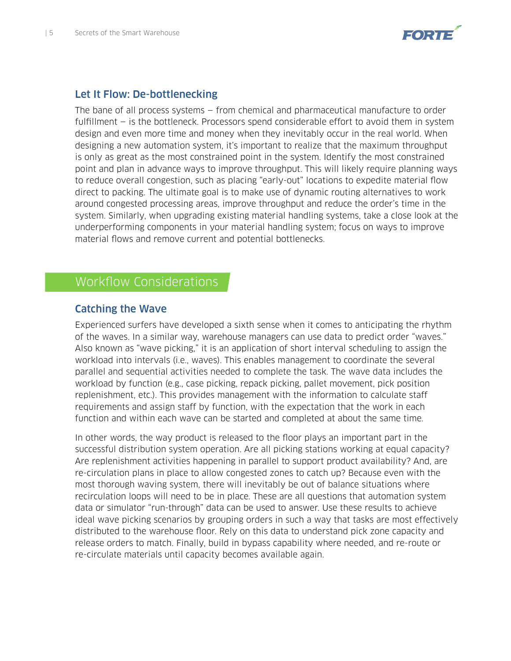

#### Let It Flow: De-bottlenecking

The bane of all process systems — from chemical and pharmaceutical manufacture to order fulfillment — is the bottleneck. Processors spend considerable effort to avoid them in system design and even more time and money when they inevitably occur in the real world. When designing a new automation system, it's important to realize that the maximum throughput is only as great as the most constrained point in the system. Identify the most constrained point and plan in advance ways to improve throughput. This will likely require planning ways to reduce overall congestion, such as placing "early-out" locations to expedite material flow direct to packing. The ultimate goal is to make use of dynamic routing alternatives to work around congested processing areas, improve throughput and reduce the order's time in the system. Similarly, when upgrading existing material handling systems, take a close look at the underperforming components in your material handling system; focus on ways to improve material flows and remove current and potential bottlenecks.

# Workflow Considerations

#### Catching the Wave

Experienced surfers have developed a sixth sense when it comes to anticipating the rhythm of the waves. In a similar way, warehouse managers can use data to predict order "waves." Also known as "wave picking," it is an application of short interval scheduling to assign the workload into intervals (i.e., waves). This enables management to coordinate the several parallel and sequential activities needed to complete the task. The wave data includes the workload by function (e.g., case picking, repack picking, pallet movement, pick position replenishment, etc.). This provides management with the information to calculate staff requirements and assign staff by function, with the expectation that the work in each function and within each wave can be started and completed at about the same time.

In other words, the way product is released to the floor plays an important part in the successful distribution system operation. Are all picking stations working at equal capacity? Are replenishment activities happening in parallel to support product availability? And, are re-circulation plans in place to allow congested zones to catch up? Because even with the most thorough waving system, there will inevitably be out of balance situations where recirculation loops will need to be in place. These are all questions that automation system data or simulator "run-through" data can be used to answer. Use these results to achieve ideal wave picking scenarios by grouping orders in such a way that tasks are most effectively distributed to the warehouse floor. Rely on this data to understand pick zone capacity and release orders to match. Finally, build in bypass capability where needed, and re-route or re-circulate materials until capacity becomes available again.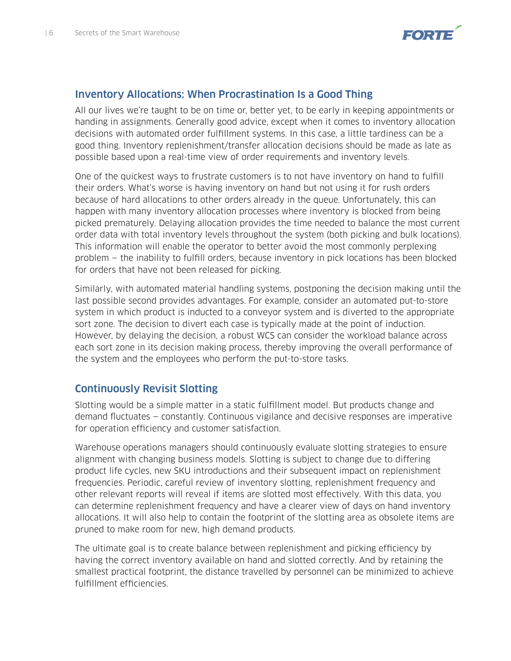

#### Inventory Allocations: When Procrastination Is a Good Thing

All our lives we're taught to be on time or, better yet, to be early in keeping appointments or handing in assignments. Generally good advice, except when it comes to inventory allocation decisions with automated order fulfillment systems. In this case, a little tardiness can be a good thing. Inventory replenishment/transfer allocation decisions should be made as late as possible based upon a real-time view of order requirements and inventory levels.

One of the quickest ways to frustrate customers is to not have inventory on hand to fulfill their orders. What's worse is having inventory on hand but not using it for rush orders because of hard allocations to other orders already in the queue. Unfortunately, this can happen with many inventory allocation processes where inventory is blocked from being picked prematurely. Delaying allocation provides the time needed to balance the most current order data with total inventory levels throughout the system (both picking and bulk locations). This information will enable the operator to better avoid the most commonly perplexing problem — the inability to fulfill orders, because inventory in pick locations has been blocked for orders that have not been released for picking.

Similarly, with automated material handling systems, postponing the decision making until the last possible second provides advantages. For example, consider an automated put-to-store system in which product is inducted to a conveyor system and is diverted to the appropriate sort zone. The decision to divert each case is typically made at the point of induction. However, by delaying the decision, a robust WCS can consider the workload balance across each sort zone in its decision making process, thereby improving the overall performance of the system and the employees who perform the put-to-store tasks.

#### Continuously Revisit Slotting

Slotting would be a simple matter in a static fulfillment model. But products change and demand fluctuates — constantly. Continuous vigilance and decisive responses are imperative for operation efficiency and customer satisfaction.

Warehouse operations managers should continuously evaluate slotting strategies to ensure alignment with changing business models. Slotting is subject to change due to differing product life cycles, new SKU introductions and their subsequent impact on replenishment frequencies. Periodic, careful review of inventory slotting, replenishment frequency and other relevant reports will reveal if items are slotted most effectively. With this data, you can determine replenishment frequency and have a clearer view of days on hand inventory allocations. It will also help to contain the footprint of the slotting area as obsolete items are pruned to make room for new, high demand products.

The ultimate goal is to create balance between replenishment and picking efficiency by having the correct inventory available on hand and slotted correctly. And by retaining the smallest practical footprint, the distance travelled by personnel can be minimized to achieve fulfillment efficiencies.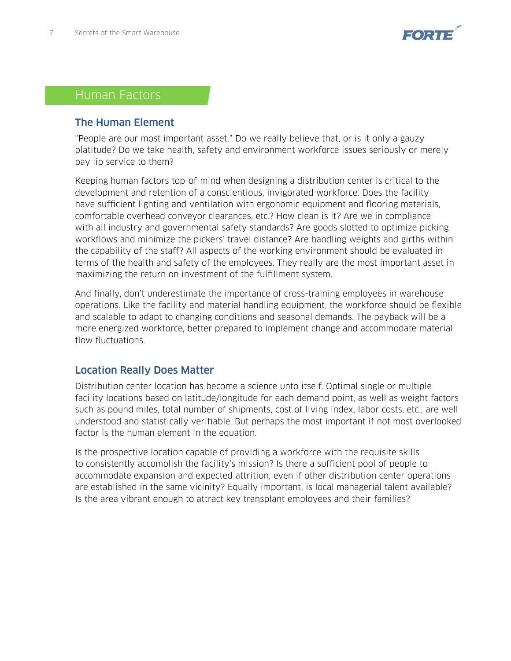

## Human Factors

#### The Human Element

"People are our most important asset." Do we really believe that, or is it only a gauzy platitude? Do we take health, safety and environment workforce issues seriously or merely pay lip service to them?

Keeping human factors top-of-mind when designing a distribution center is critical to the development and retention of a conscientious, invigorated workforce. Does the facility have sufficient lighting and ventilation with ergonomic equipment and flooring materials, comfortable overhead conveyor clearances, etc.? How clean is it? Are we in compliance with all industry and governmental safety standards? Are goods slotted to optimize picking workflows and minimize the pickers' travel distance? Are handling weights and girths within the capability of the staff? All aspects of the working environment should be evaluated in terms of the health and safety of the employees. They really are the most important asset in maximizing the return on investment of the fulfillment system.

And finally, don't underestimate the importance of cross-training employees in warehouse operations. Like the facility and material handling equipment, the workforce should be flexible and scalable to adapt to changing conditions and seasonal demands. The payback will be a more energized workforce, better prepared to implement change and accommodate material flow fluctuations.

#### Location Really Does Matter

Distribution center location has become a science unto itself. Optimal single or multiple facility locations based on latitude/longitude for each demand point, as well as weight factors such as pound miles, total number of shipments, cost of living index, labor costs, etc., are well understood and statistically verifiable. But perhaps the most important if not most overlooked factor is the human element in the equation.

Is the prospective location capable of providing a workforce with the requisite skills to consistently accomplish the facility's mission? Is there a sufficient pool of people to accommodate expansion and expected attrition, even if other distribution center operations are established in the same vicinity? Equally important, is local managerial talent available? Is the area vibrant enough to attract key transplant employees and their families?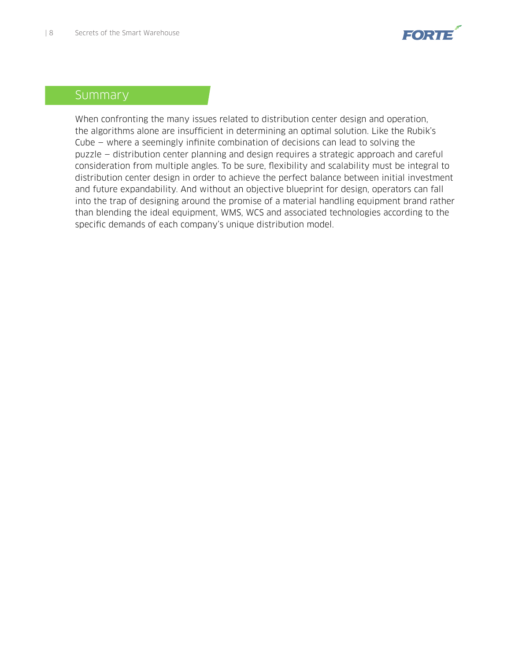

### Summary

When confronting the many issues related to distribution center design and operation, the algorithms alone are insufficient in determining an optimal solution. Like the Rubik's Cube — where a seemingly infinite combination of decisions can lead to solving the puzzle — distribution center planning and design requires a strategic approach and careful consideration from multiple angles. To be sure, flexibility and scalability must be integral to distribution center design in order to achieve the perfect balance between initial investment and future expandability. And without an objective blueprint for design, operators can fall into the trap of designing around the promise of a material handling equipment brand rather than blending the ideal equipment, WMS, WCS and associated technologies according to the specific demands of each company's unique distribution model.